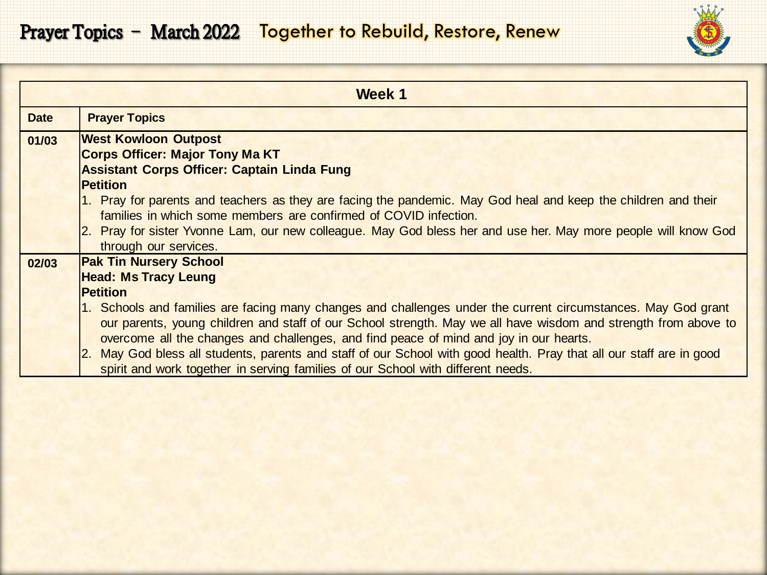

|             | Week 1                                                                                                                                                                                                                                                                                                                                                                                                                                                                                                                                 |
|-------------|----------------------------------------------------------------------------------------------------------------------------------------------------------------------------------------------------------------------------------------------------------------------------------------------------------------------------------------------------------------------------------------------------------------------------------------------------------------------------------------------------------------------------------------|
| <b>Date</b> | <b>Prayer Topics</b>                                                                                                                                                                                                                                                                                                                                                                                                                                                                                                                   |
| 01/03       | <b>West Kowloon Outpost</b><br><b>Corps Officer: Major Tony Ma KT</b><br><b>Assistant Corps Officer: Captain Linda Fung</b><br><b>Petition</b><br>1. Pray for parents and teachers as they are facing the pandemic. May God heal and keep the children and their<br>families in which some members are confirmed of COVID infection.                                                                                                                                                                                                   |
|             | 2. Pray for sister Yvonne Lam, our new colleague. May God bless her and use her. May more people will know God<br>through our services.                                                                                                                                                                                                                                                                                                                                                                                                |
| 02/03       | <b>Pak Tin Nursery School</b><br><b>Head: Ms Tracy Leung</b><br><b>Petition</b>                                                                                                                                                                                                                                                                                                                                                                                                                                                        |
|             | 1. Schools and families are facing many changes and challenges under the current circumstances. May God grant<br>our parents, young children and staff of our School strength. May we all have wisdom and strength from above to<br>overcome all the changes and challenges, and find peace of mind and joy in our hearts.<br>2. May God bless all students, parents and staff of our School with good health. Pray that all our staff are in good<br>spirit and work together in serving families of our School with different needs. |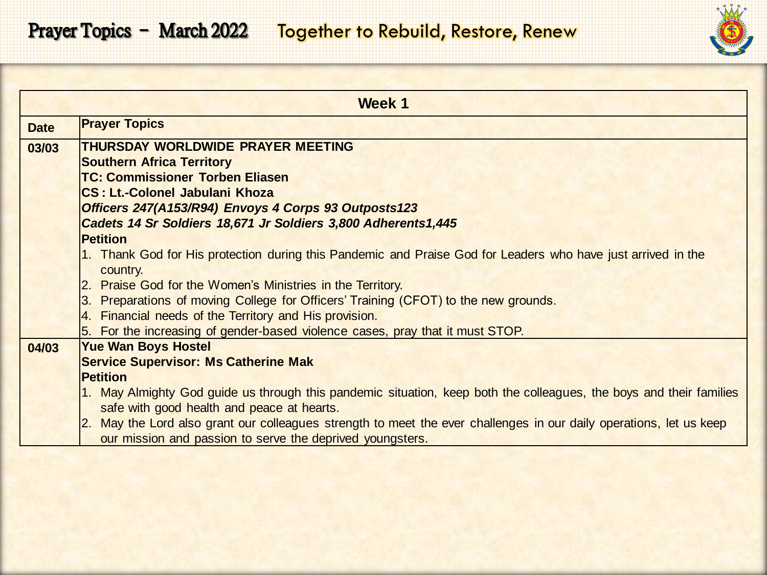

|             | Week 1                                                                                                              |
|-------------|---------------------------------------------------------------------------------------------------------------------|
| <b>Date</b> | <b>Prayer Topics</b>                                                                                                |
| 03/03       | THURSDAY WORLDWIDE PRAYER MEETING                                                                                   |
|             | <b>Southern Africa Territory</b>                                                                                    |
|             | <b>TC: Commissioner Torben Eliasen</b>                                                                              |
|             | <b>CS: Lt.-Colonel Jabulani Khoza</b>                                                                               |
|             | Officers 247(A153/R94) Envoys 4 Corps 93 Outposts123                                                                |
|             | Cadets 14 Sr Soldiers 18,671 Jr Soldiers 3,800 Adherents1,445                                                       |
|             | <b>Petition</b>                                                                                                     |
|             | 1. Thank God for His protection during this Pandemic and Praise God for Leaders who have just arrived in the        |
|             | country.                                                                                                            |
|             | 2. Praise God for the Women's Ministries in the Territory.                                                          |
|             | 3. Preparations of moving College for Officers' Training (CFOT) to the new grounds.                                 |
|             | 4. Financial needs of the Territory and His provision.                                                              |
|             | 5. For the increasing of gender-based violence cases, pray that it must STOP.                                       |
| 04/03       | <b>Yue Wan Boys Hostel</b>                                                                                          |
|             | <b>Service Supervisor: Ms Catherine Mak</b>                                                                         |
|             | <b>Petition</b>                                                                                                     |
|             | 1. May Almighty God guide us through this pandemic situation, keep both the colleagues, the boys and their families |
|             | safe with good health and peace at hearts.                                                                          |
|             | 2. May the Lord also grant our colleagues strength to meet the ever challenges in our daily operations, let us keep |
|             | our mission and passion to serve the deprived youngsters.                                                           |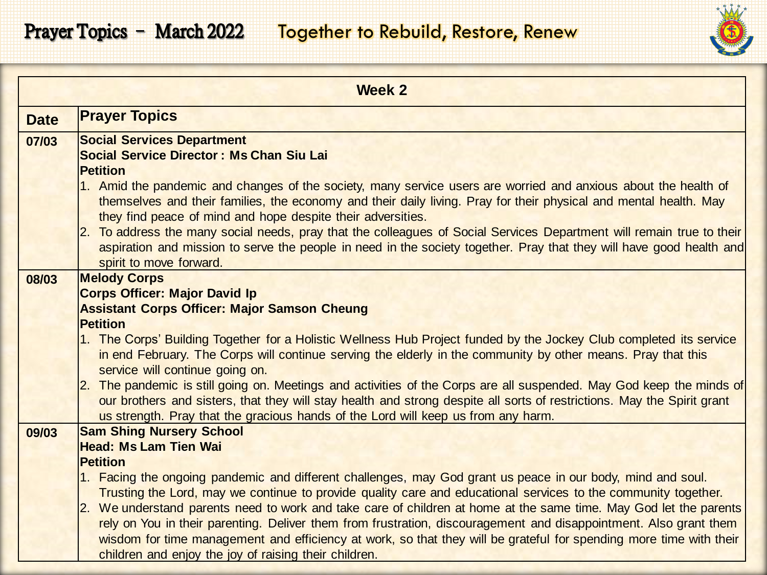

|             | <b>Week 2</b>                                                                                                                                                                                                                                                                                                                                                                                                  |
|-------------|----------------------------------------------------------------------------------------------------------------------------------------------------------------------------------------------------------------------------------------------------------------------------------------------------------------------------------------------------------------------------------------------------------------|
| <b>Date</b> | <b>Prayer Topics</b>                                                                                                                                                                                                                                                                                                                                                                                           |
| 07/03       | <b>Social Services Department</b><br><b>Social Service Director: Ms Chan Siu Lai</b><br><b>Petition</b><br>1. Amid the pandemic and changes of the society, many service users are worried and anxious about the health of<br>themselves and their families, the economy and their daily living. Pray for their physical and mental health. May<br>they find peace of mind and hope despite their adversities. |
|             | 2. To address the many social needs, pray that the colleagues of Social Services Department will remain true to their<br>aspiration and mission to serve the people in need in the society together. Pray that they will have good health and<br>spirit to move forward.                                                                                                                                       |
| 08/03       | <b>Melody Corps</b>                                                                                                                                                                                                                                                                                                                                                                                            |
|             | <b>Corps Officer: Major David Ip</b>                                                                                                                                                                                                                                                                                                                                                                           |
|             | <b>Assistant Corps Officer: Major Samson Cheung</b><br><b>Petition</b>                                                                                                                                                                                                                                                                                                                                         |
|             | 1. The Corps' Building Together for a Holistic Wellness Hub Project funded by the Jockey Club completed its service<br>in end February. The Corps will continue serving the elderly in the community by other means. Pray that this<br>service will continue going on.                                                                                                                                         |
|             | 2. The pandemic is still going on. Meetings and activities of the Corps are all suspended. May God keep the minds of<br>our brothers and sisters, that they will stay health and strong despite all sorts of restrictions. May the Spirit grant<br>us strength. Pray that the gracious hands of the Lord will keep us from any harm.                                                                           |
| 09/03       | <b>Sam Shing Nursery School</b>                                                                                                                                                                                                                                                                                                                                                                                |
|             | <b>Head: Ms Lam Tien Wai</b>                                                                                                                                                                                                                                                                                                                                                                                   |
|             | <b>Petition</b><br>1. Facing the ongoing pandemic and different challenges, may God grant us peace in our body, mind and soul.                                                                                                                                                                                                                                                                                 |
|             | Trusting the Lord, may we continue to provide quality care and educational services to the community together.                                                                                                                                                                                                                                                                                                 |
|             | 2. We understand parents need to work and take care of children at home at the same time. May God let the parents                                                                                                                                                                                                                                                                                              |
|             | rely on You in their parenting. Deliver them from frustration, discouragement and disappointment. Also grant them                                                                                                                                                                                                                                                                                              |
|             | wisdom for time management and efficiency at work, so that they will be grateful for spending more time with their<br>children and enjoy the joy of raising their children.                                                                                                                                                                                                                                    |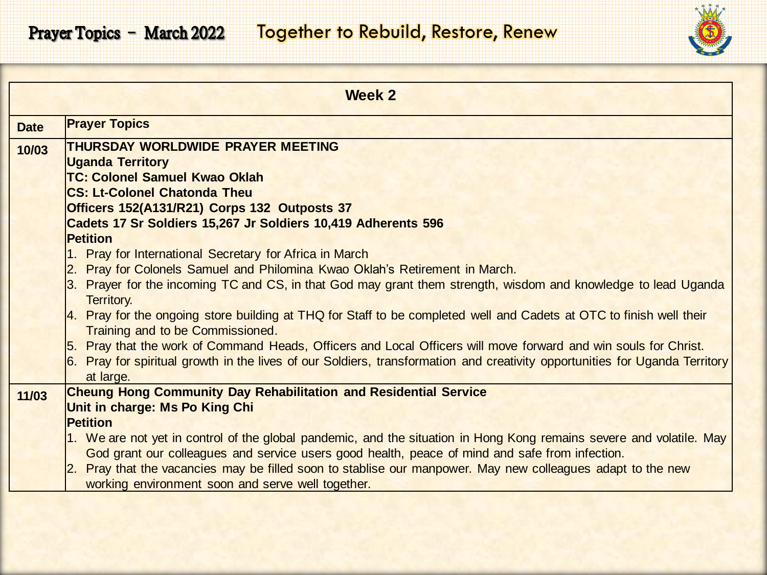

|             | Week 2                                                                                                                                                                                                                                         |
|-------------|------------------------------------------------------------------------------------------------------------------------------------------------------------------------------------------------------------------------------------------------|
| <b>Date</b> | <b>Prayer Topics</b>                                                                                                                                                                                                                           |
| 10/03       | THURSDAY WORLDWIDE PRAYER MEETING                                                                                                                                                                                                              |
|             | <b>Uganda Territory</b>                                                                                                                                                                                                                        |
|             | <b>TC: Colonel Samuel Kwao Oklah</b>                                                                                                                                                                                                           |
|             | <b>CS: Lt-Colonel Chatonda Theu</b><br>Officers 152(A131/R21) Corps 132 Outposts 37                                                                                                                                                            |
|             | Cadets 17 Sr Soldiers 15,267 Jr Soldiers 10,419 Adherents 596                                                                                                                                                                                  |
|             | <b>Petition</b>                                                                                                                                                                                                                                |
|             | 1. Pray for International Secretary for Africa in March                                                                                                                                                                                        |
|             | 2. Pray for Colonels Samuel and Philomina Kwao Oklah's Retirement in March.                                                                                                                                                                    |
|             | 3. Prayer for the incoming TC and CS, in that God may grant them strength, wisdom and knowledge to lead Uganda                                                                                                                                 |
|             | Territory.                                                                                                                                                                                                                                     |
|             | 4. Pray for the ongoing store building at THQ for Staff to be completed well and Cadets at OTC to finish well their                                                                                                                            |
|             | <b>Training and to be Commissioned.</b>                                                                                                                                                                                                        |
|             | 5. Pray that the work of Command Heads, Officers and Local Officers will move forward and win souls for Christ.<br>6. Pray for spiritual growth in the lives of our Soldiers, transformation and creativity opportunities for Uganda Territory |
|             | at large.                                                                                                                                                                                                                                      |
| 11/03       | <b>Cheung Hong Community Day Rehabilitation and Residential Service</b>                                                                                                                                                                        |
|             | Unit in charge: Ms Po King Chi                                                                                                                                                                                                                 |
|             | <b>Petition</b>                                                                                                                                                                                                                                |
|             | 1. We are not yet in control of the global pandemic, and the situation in Hong Kong remains severe and volatile. May                                                                                                                           |
|             | God grant our colleagues and service users good health, peace of mind and safe from infection.                                                                                                                                                 |
|             | 2. Pray that the vacancies may be filled soon to stablise our manpower. May new colleagues adapt to the new                                                                                                                                    |
|             | working environment soon and serve well together.                                                                                                                                                                                              |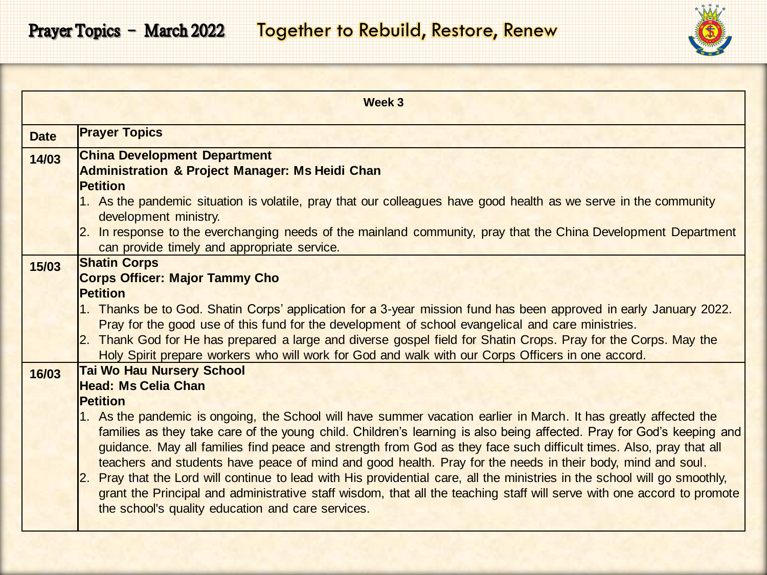|                | Week 3                                                                                                                                                                                                                                                                                                                                                                                                                                                                                                                                                                                                                                                                                                                                                                                                         |
|----------------|----------------------------------------------------------------------------------------------------------------------------------------------------------------------------------------------------------------------------------------------------------------------------------------------------------------------------------------------------------------------------------------------------------------------------------------------------------------------------------------------------------------------------------------------------------------------------------------------------------------------------------------------------------------------------------------------------------------------------------------------------------------------------------------------------------------|
| <b>Date</b>    | <b>Prayer Topics</b>                                                                                                                                                                                                                                                                                                                                                                                                                                                                                                                                                                                                                                                                                                                                                                                           |
| 14/03          | <b>China Development Department</b><br><b>Administration &amp; Project Manager: Ms Heidi Chan</b>                                                                                                                                                                                                                                                                                                                                                                                                                                                                                                                                                                                                                                                                                                              |
|                | <b>Petition</b><br>1. As the pandemic situation is volatile, pray that our colleagues have good health as we serve in the community<br>development ministry.                                                                                                                                                                                                                                                                                                                                                                                                                                                                                                                                                                                                                                                   |
|                | 2. In response to the everchanging needs of the mainland community, pray that the China Development Department<br>can provide timely and appropriate service.                                                                                                                                                                                                                                                                                                                                                                                                                                                                                                                                                                                                                                                  |
| 15/03<br>16/03 | <b>Shatin Corps</b><br><b>Corps Officer: Major Tammy Cho</b><br><b>Petition</b><br>1. Thanks be to God. Shatin Corps' application for a 3-year mission fund has been approved in early January 2022.<br>Pray for the good use of this fund for the development of school evangelical and care ministries.<br>2. Thank God for He has prepared a large and diverse gospel field for Shatin Crops. Pray for the Corps. May the<br>Holy Spirit prepare workers who will work for God and walk with our Corps Officers in one accord.<br><b>Tai Wo Hau Nursery School</b><br>Head: Ms Celia Chan                                                                                                                                                                                                                   |
|                | <b>Petition</b><br>1. As the pandemic is ongoing, the School will have summer vacation earlier in March. It has greatly affected the<br>families as they take care of the young child. Children's learning is also being affected. Pray for God's keeping and<br>guidance. May all families find peace and strength from God as they face such difficult times. Also, pray that all<br>teachers and students have peace of mind and good health. Pray for the needs in their body, mind and soul.<br>2. Pray that the Lord will continue to lead with His providential care, all the ministries in the school will go smoothly,<br>grant the Principal and administrative staff wisdom, that all the teaching staff will serve with one accord to promote<br>the school's quality education and care services. |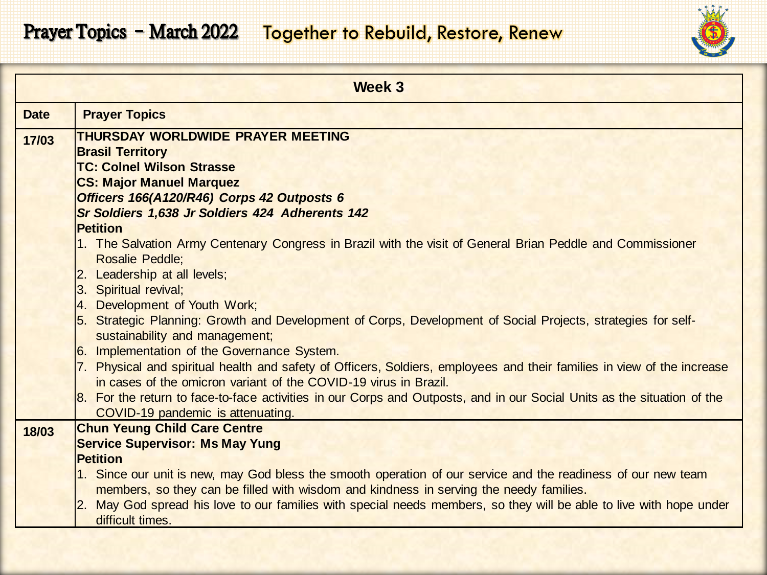

|             | Week 3                                                                                                                                         |
|-------------|------------------------------------------------------------------------------------------------------------------------------------------------|
| <b>Date</b> | <b>Prayer Topics</b>                                                                                                                           |
| 17/03       | THURSDAY WORLDWIDE PRAYER MEETING                                                                                                              |
|             | <b>Brasil Territory</b>                                                                                                                        |
|             | <b>TC: Colnel Wilson Strasse</b>                                                                                                               |
|             | <b>CS: Major Manuel Marquez</b>                                                                                                                |
|             | Officers 166(A120/R46) Corps 42 Outposts 6                                                                                                     |
|             | Sr Soldiers 1,638 Jr Soldiers 424 Adherents 142<br><b>Petition</b>                                                                             |
|             | 1. The Salvation Army Centenary Congress in Brazil with the visit of General Brian Peddle and Commissioner                                     |
|             | <b>Rosalie Peddle;</b>                                                                                                                         |
|             | 2. Leadership at all levels;                                                                                                                   |
|             | 3. Spiritual revival;                                                                                                                          |
|             | 4. Development of Youth Work;                                                                                                                  |
|             | 5. Strategic Planning: Growth and Development of Corps, Development of Social Projects, strategies for self-<br>sustainability and management; |
|             | 6. Implementation of the Governance System.                                                                                                    |
|             | 7. Physical and spiritual health and safety of Officers, Soldiers, employees and their families in view of the increase                        |
|             | in cases of the omicron variant of the COVID-19 virus in Brazil.                                                                               |
|             | 8. For the return to face-to-face activities in our Corps and Outposts, and in our Social Units as the situation of the                        |
|             | COVID-19 pandemic is attenuating.<br><b>Chun Yeung Child Care Centre</b>                                                                       |
| 18/03       | <b>Service Supervisor: Ms May Yung</b>                                                                                                         |
|             | <b>Petition</b>                                                                                                                                |
|             | 1. Since our unit is new, may God bless the smooth operation of our service and the readiness of our new team                                  |
|             | members, so they can be filled with wisdom and kindness in serving the needy families.                                                         |
|             | May God spread his love to our families with special needs members, so they will be able to live with hope under                               |
|             | difficult times.                                                                                                                               |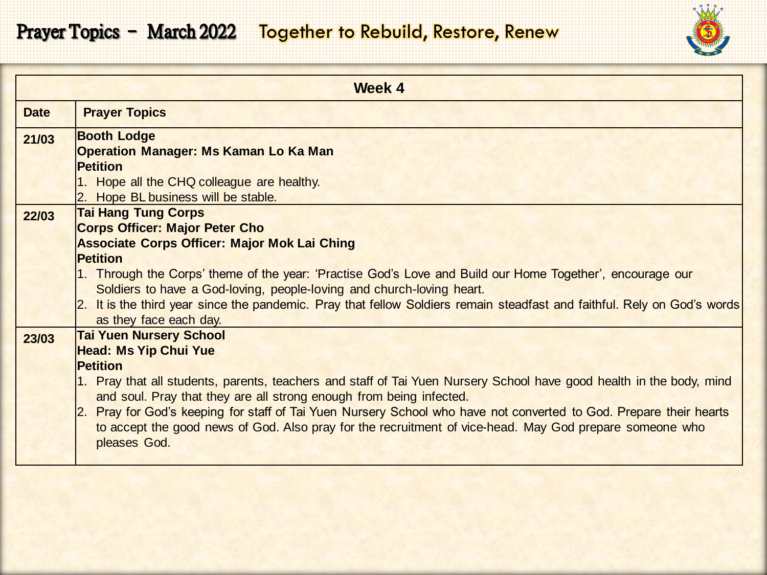

| <b>Week 4</b> |                                                                                                                                                                                                                                                                                                                                                                                                                                                                                                                                       |
|---------------|---------------------------------------------------------------------------------------------------------------------------------------------------------------------------------------------------------------------------------------------------------------------------------------------------------------------------------------------------------------------------------------------------------------------------------------------------------------------------------------------------------------------------------------|
| <b>Date</b>   | <b>Prayer Topics</b>                                                                                                                                                                                                                                                                                                                                                                                                                                                                                                                  |
| 21/03         | <b>Booth Lodge</b><br><b>Operation Manager: Ms Kaman Lo Ka Man</b><br><b>Petition</b><br>1. Hope all the CHQ colleague are healthy.<br>2. Hope BL business will be stable.                                                                                                                                                                                                                                                                                                                                                            |
| 22/03         | <b>Tai Hang Tung Corps</b><br><b>Corps Officer: Major Peter Cho</b><br><b>Associate Corps Officer: Major Mok Lai Ching</b><br><b>Petition</b><br>1. Through the Corps' theme of the year: 'Practise God's Love and Build our Home Together', encourage our<br>Soldiers to have a God-loving, people-loving and church-loving heart.<br>2. It is the third year since the pandemic. Pray that fellow Soldiers remain steadfast and faithful. Rely on God's words<br>as they face each day.                                             |
| 23/03         | <b>Tai Yuen Nursery School</b><br><b>Head: Ms Yip Chui Yue</b><br><b>Petition</b><br>1. Pray that all students, parents, teachers and staff of Tai Yuen Nursery School have good health in the body, mind<br>and soul. Pray that they are all strong enough from being infected.<br>Pray for God's keeping for staff of Tai Yuen Nursery School who have not converted to God. Prepare their hearts<br> 2.<br>to accept the good news of God. Also pray for the recruitment of vice-head. May God prepare someone who<br>pleases God. |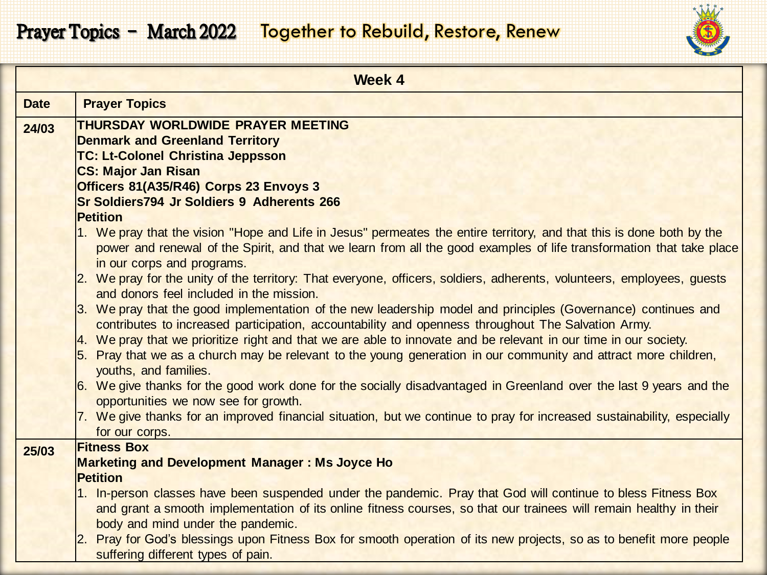

|             | Week 4                                                                                                                                                                                                                 |
|-------------|------------------------------------------------------------------------------------------------------------------------------------------------------------------------------------------------------------------------|
| <b>Date</b> | <b>Prayer Topics</b>                                                                                                                                                                                                   |
| 24/03       | THURSDAY WORLDWIDE PRAYER MEETING                                                                                                                                                                                      |
|             | <b>Denmark and Greenland Territory</b>                                                                                                                                                                                 |
|             | <b>TC: Lt-Colonel Christina Jeppsson</b>                                                                                                                                                                               |
|             | <b>CS: Major Jan Risan</b>                                                                                                                                                                                             |
|             | Officers 81(A35/R46) Corps 23 Envoys 3                                                                                                                                                                                 |
|             | <b>Sr Soldiers794 Jr Soldiers 9 Adherents 266</b>                                                                                                                                                                      |
|             | <b>Petition</b>                                                                                                                                                                                                        |
|             | 1. We pray that the vision "Hope and Life in Jesus" permeates the entire territory, and that this is done both by the                                                                                                  |
|             | power and renewal of the Spirit, and that we learn from all the good examples of life transformation that take place                                                                                                   |
|             | in our corps and programs.                                                                                                                                                                                             |
|             | 2. We pray for the unity of the territory: That everyone, officers, soldiers, adherents, volunteers, employees, guests                                                                                                 |
|             | and donors feel included in the mission.                                                                                                                                                                               |
|             | 3. We pray that the good implementation of the new leadership model and principles (Governance) continues and                                                                                                          |
|             | contributes to increased participation, accountability and openness throughout The Salvation Army.<br>4. We pray that we prioritize right and that we are able to innovate and be relevant in our time in our society. |
|             | 5. Pray that we as a church may be relevant to the young generation in our community and attract more children,                                                                                                        |
|             | youths, and families.                                                                                                                                                                                                  |
|             | 6. We give thanks for the good work done for the socially disadvantaged in Greenland over the last 9 years and the                                                                                                     |
|             | opportunities we now see for growth.                                                                                                                                                                                   |
|             | 7. We give thanks for an improved financial situation, but we continue to pray for increased sustainability, especially                                                                                                |
|             | for our corps.                                                                                                                                                                                                         |
| 25/03       | <b>Fitness Box</b>                                                                                                                                                                                                     |
|             | <b>Marketing and Development Manager: Ms Joyce Ho</b>                                                                                                                                                                  |
|             | <b>Petition</b>                                                                                                                                                                                                        |
|             | 1. In-person classes have been suspended under the pandemic. Pray that God will continue to bless Fitness Box                                                                                                          |
|             | and grant a smooth implementation of its online fitness courses, so that our trainees will remain healthy in their                                                                                                     |
|             | body and mind under the pandemic.                                                                                                                                                                                      |
|             | Pray for God's blessings upon Fitness Box for smooth operation of its new projects, so as to benefit more people                                                                                                       |
|             | suffering different types of pain.                                                                                                                                                                                     |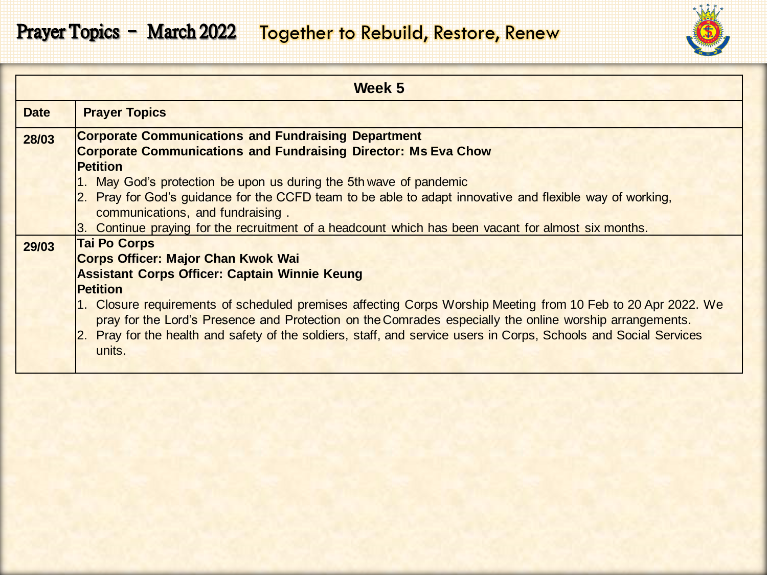

|             | Week 5                                                                                                         |
|-------------|----------------------------------------------------------------------------------------------------------------|
| <b>Date</b> | <b>Prayer Topics</b>                                                                                           |
| 28/03       | <b>Corporate Communications and Fundraising Department</b>                                                     |
|             | <b>Corporate Communications and Fundraising Director: Ms Eva Chow</b>                                          |
|             | <b>Petition</b>                                                                                                |
|             | 1. May God's protection be upon us during the 5th wave of pandemic                                             |
|             | Pray for God's guidance for the CCFD team to be able to adapt innovative and flexible way of working,          |
|             | communications, and fundraising.                                                                               |
|             | 3. Continue praying for the recruitment of a headcount which has been vacant for almost six months.            |
| 29/03       | <b>Tai Po Corps</b>                                                                                            |
|             | <b>Corps Officer: Major Chan Kwok Wai</b>                                                                      |
|             | <b>Assistant Corps Officer: Captain Winnie Keung</b>                                                           |
|             | <b>Petition</b>                                                                                                |
|             | 1. Closure requirements of scheduled premises affecting Corps Worship Meeting from 10 Feb to 20 Apr 2022. We   |
|             | pray for the Lord's Presence and Protection on the Comrades especially the online worship arrangements.        |
|             | Pray for the health and safety of the soldiers, staff, and service users in Corps, Schools and Social Services |
|             | units.                                                                                                         |
|             |                                                                                                                |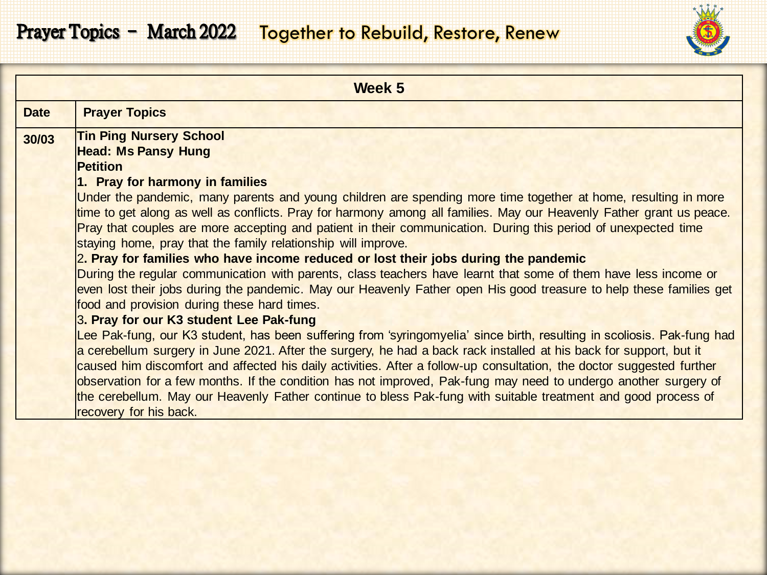

|             | Week 5                                                                                                                                                                                                                                                                                                                                                                                                                                                                                                                                                                                                                                                                                                                                                                                                                                                                                                                                                                                                                                                                                                                                                                                                                                                                                                                                                                                                                                                                   |
|-------------|--------------------------------------------------------------------------------------------------------------------------------------------------------------------------------------------------------------------------------------------------------------------------------------------------------------------------------------------------------------------------------------------------------------------------------------------------------------------------------------------------------------------------------------------------------------------------------------------------------------------------------------------------------------------------------------------------------------------------------------------------------------------------------------------------------------------------------------------------------------------------------------------------------------------------------------------------------------------------------------------------------------------------------------------------------------------------------------------------------------------------------------------------------------------------------------------------------------------------------------------------------------------------------------------------------------------------------------------------------------------------------------------------------------------------------------------------------------------------|
| <b>Date</b> | <b>Prayer Topics</b>                                                                                                                                                                                                                                                                                                                                                                                                                                                                                                                                                                                                                                                                                                                                                                                                                                                                                                                                                                                                                                                                                                                                                                                                                                                                                                                                                                                                                                                     |
| 30/03       | <b>Tin Ping Nursery School</b><br><b>Head: Ms Pansy Hung</b><br><b>Petition</b><br>1. Pray for harmony in families<br>Under the pandemic, many parents and young children are spending more time together at home, resulting in more<br>time to get along as well as conflicts. Pray for harmony among all families. May our Heavenly Father grant us peace.<br>Pray that couples are more accepting and patient in their communication. During this period of unexpected time<br>staying home, pray that the family relationship will improve.<br>2. Pray for families who have income reduced or lost their jobs during the pandemic<br>During the regular communication with parents, class teachers have learnt that some of them have less income or<br>even lost their jobs during the pandemic. May our Heavenly Father open His good treasure to help these families get<br>food and provision during these hard times.<br>3. Pray for our K3 student Lee Pak-fung<br>Lee Pak-fung, our K3 student, has been suffering from 'syringomyelia' since birth, resulting in scoliosis. Pak-fung had<br>a cerebellum surgery in June 2021. After the surgery, he had a back rack installed at his back for support, but it<br>caused him discomfort and affected his daily activities. After a follow-up consultation, the doctor suggested further<br>observation for a few months. If the condition has not improved, Pak-fung may need to undergo another surgery of |
|             | the cerebellum. May our Heavenly Father continue to bless Pak-fung with suitable treatment and good process of<br>recovery for his back.                                                                                                                                                                                                                                                                                                                                                                                                                                                                                                                                                                                                                                                                                                                                                                                                                                                                                                                                                                                                                                                                                                                                                                                                                                                                                                                                 |